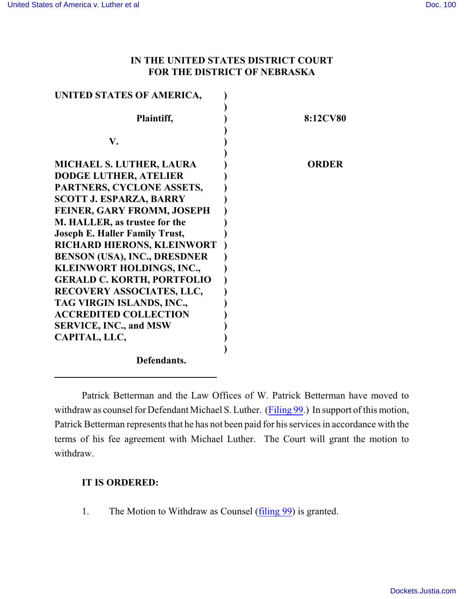## **IN THE UNITED STATES DISTRICT COURT FOR THE DISTRICT OF NEBRASKA**

| UNITED STATES OF AMERICA,             |                 |
|---------------------------------------|-----------------|
|                                       |                 |
| Plaintiff,                            | <b>8:12CV80</b> |
|                                       |                 |
| V.                                    |                 |
|                                       |                 |
| <b>MICHAEL S. LUTHER, LAURA</b>       | ORDER           |
| <b>DODGE LUTHER, ATELIER</b>          |                 |
| PARTNERS, CYCLONE ASSETS,             |                 |
| <b>SCOTT J. ESPARZA, BARRY</b>        |                 |
| FEINER, GARY FROMM, JOSEPH            |                 |
| M. HALLER, as trustee for the         |                 |
| <b>Joseph E. Haller Family Trust,</b> |                 |
| RICHARD HIERONS, KLEINWORT            |                 |
| <b>BENSON (USA), INC., DRESDNER</b>   |                 |
| KLEINWORT HOLDINGS, INC.,             |                 |
| <b>GERALD C. KORTH, PORTFOLIO</b>     |                 |
| RECOVERY ASSOCIATES, LLC,             |                 |
| TAG VIRGIN ISLANDS, INC.,             |                 |
| <b>ACCREDITED COLLECTION</b>          |                 |
| <b>SERVICE, INC., and MSW</b>         |                 |
| CAPITAL, LLC,                         |                 |
|                                       |                 |
| Defendants.                           |                 |

Patrick Betterman and the Law Offices of W. Patrick Betterman have moved to withdraw as counsel for Defendant Michael S. Luther. [\(Filing 99](https://ecf.ned.uscourts.gov/doc1/11312701224).) In support of this motion, Patrick Betterman represents that he has not been paid for his services in accordance with the terms of his fee agreement with Michael Luther. The Court will grant the motion to withdraw.

## **IT IS ORDERED:**

1. The Motion to Withdraw as Counsel [\(filing 99](https://ecf.ned.uscourts.gov/doc1/11312701224)) is granted.